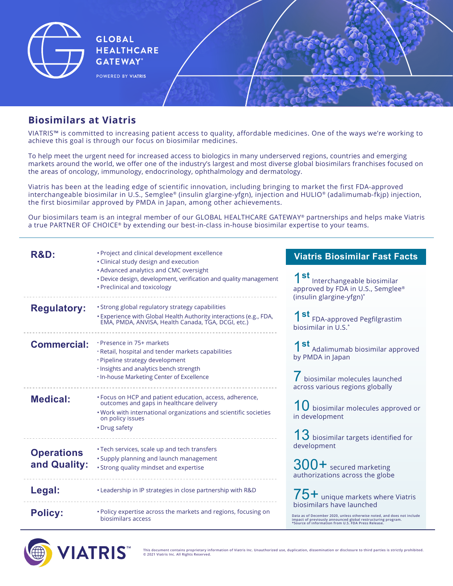

## **Biosimilars at Viatris**

VIATRIS™ is committed to increasing patient access to quality, affordable medicines. One of the ways we're working to achieve this goal is through our focus on biosimilar medicines.

To help meet the urgent need for increased access to biologics in many underserved regions, countries and emerging markets around the world, we offer one of the industry's largest and most diverse global biosimilars franchises focused on the areas of oncology, immunology, endocrinology, ophthalmology and dermatology.

Viatris has been at the leading edge of scientific innovation, including bringing to market the first FDA-approved interchangeable biosimilar in U.S., Semglee® (insulin glargine-yfgn), injection and HULIO® (adalimumab-fkjp) injection, the first biosimilar approved by PMDA in Japan, among other achievements.

Our biosimilars team is an integral member of our GLOBAL HEALTHCARE GATEWAY® partnerships and helps make Viatris a true PARTNER OF CHOICE® by extending our best-in-class in-house biosimilar expertise to your teams.

| <b>R&amp;D:</b>                   | · Project and clinical development excellence<br>• Clinical study design and execution                                                                                                                        | <b>Viatris Biosimilar Fast Facts</b>                                                                                                                                                                                       |
|-----------------------------------|---------------------------------------------------------------------------------------------------------------------------------------------------------------------------------------------------------------|----------------------------------------------------------------------------------------------------------------------------------------------------------------------------------------------------------------------------|
|                                   | • Advanced analytics and CMC oversight<br>• Device design, development, verification and quality management<br>• Preclinical and toxicology                                                                   | 1 <sup>st</sup> Interchangeable biosimilar<br>approved by FDA in U.S., Semglee®<br>(insulin glargine-yfgn)*                                                                                                                |
| <b>Regulatory:</b>                | · Strong global regulatory strategy capabilities<br>· Experience with Global Health Authority interactions (e.g., FDA, EMA, PMDA, ANVISA, Health Canada, TGA, DCGI, etc.)                                     | 1 st FDA-approved Pegfilgrastim<br>biosimilar in U.S.*                                                                                                                                                                     |
| <b>Commercial:</b>                | · Presence in 75+ markets<br>· Retail, hospital and tender markets capabilities<br>· Pipeline strategy development<br>· Insights and analytics bench strength                                                 | 1 <sup>st</sup> Adalimumab biosimilar approved<br>by PMDA in Japan                                                                                                                                                         |
|                                   | . In-house Marketing Center of Excellence                                                                                                                                                                     | biosimilar molecules launched<br>across various regions globally                                                                                                                                                           |
| <b>Medical:</b>                   | • Focus on HCP and patient education, access, adherence,<br>outcomes and gaps in healthcare delivery<br>. Work with international organizations and scientific societies<br>on policy issues<br>• Drug safety | $10$ biosimilar molecules approved or<br>in development<br>13 biosimilar targets identified for                                                                                                                            |
| <b>Operations</b><br>and Quality: | • Tech services, scale up and tech transfers<br>· Supply planning and launch management<br>• Strong quality mindset and expertise                                                                             | development<br>300+ secured marketing<br>authorizations across the globe                                                                                                                                                   |
| Legal:                            | . Leadership in IP strategies in close partnership with R&D                                                                                                                                                   | $75+$ unique markets where Viatris                                                                                                                                                                                         |
| <b>Policy:</b>                    | • Policy expertise across the markets and regions, focusing on<br>biosimilars access                                                                                                                          | biosimilars have launched<br>Data as of December 2020, unless otherwise noted, and does not include<br>impact of previously announced global restructuring program.<br>*Source of information from U.S. FDA Press Release. |



**This document contains proprietary information of Viatris Inc. Unauthorized use, duplication, dissemination or disclosure to third parties is strictly prohibited. © 2021 Viatris Inc. All Rights Reserved.**